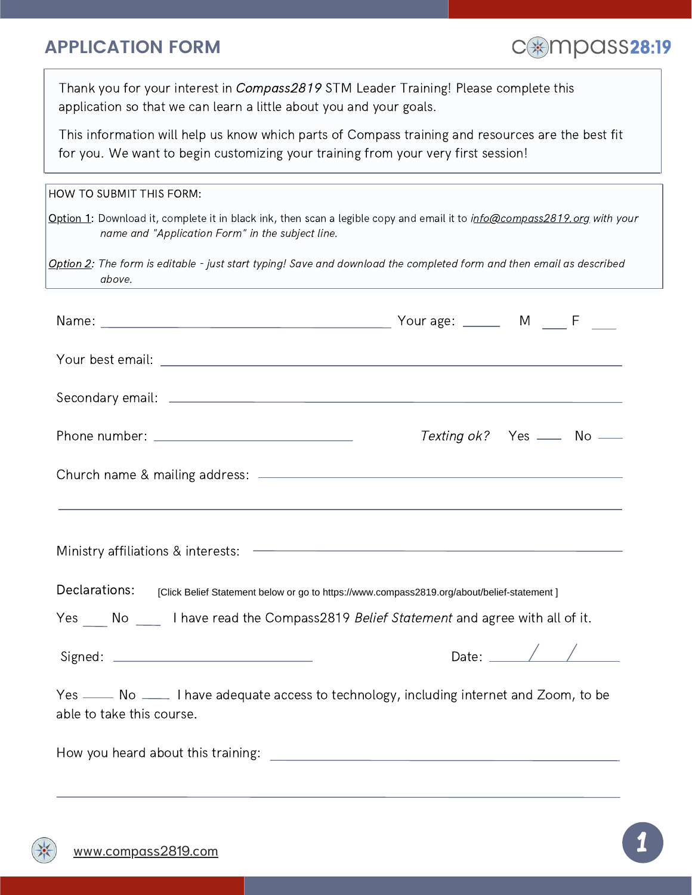## **APPLICATION FORM**



Thank you for your interest in Compass2819 STM Leader Training! Please complete this application so that we can learn a little about you and your goals.

This information will help us know which parts of Compass training and resources are the best fit for you. We want to begin customizing your training from your very first session!

| HOW TO SUBMIT THIS FORM:                                                                                                       |                                                                                                                                 |
|--------------------------------------------------------------------------------------------------------------------------------|---------------------------------------------------------------------------------------------------------------------------------|
| name and "Application Form" in the subject line.                                                                               | Option 1: Download it, complete it in black ink, then scan a legible copy and email it to <i>info@compass2819.org with your</i> |
| Option 2: The form is editable - just start typing! Save and download the completed form and then email as described<br>above. |                                                                                                                                 |
|                                                                                                                                |                                                                                                                                 |
|                                                                                                                                |                                                                                                                                 |
|                                                                                                                                |                                                                                                                                 |
|                                                                                                                                | Texting ok? Yes __ No __                                                                                                        |
|                                                                                                                                |                                                                                                                                 |
|                                                                                                                                | ,我们也不能会有什么。""我们的人,我们也不能会有什么?""我们的人,我们也不能会有什么?""我们的人,我们也不能会有什么?""我们的人,我们也不能会有什么?""                                               |
|                                                                                                                                |                                                                                                                                 |
| Declarations:                                                                                                                  | [Click Belief Statement below or go to https://www.compass2819.org/about/belief-statement]                                      |
|                                                                                                                                | Yes No __ I have read the Compass2819 Belief Statement and agree with all of it.                                                |
|                                                                                                                                | Date: $\angle$ /                                                                                                                |
| able to take this course.                                                                                                      | Yes _____ No _____ I have adequate access to technology, including internet and Zoom, to be                                     |
|                                                                                                                                |                                                                                                                                 |
|                                                                                                                                |                                                                                                                                 |
|                                                                                                                                |                                                                                                                                 |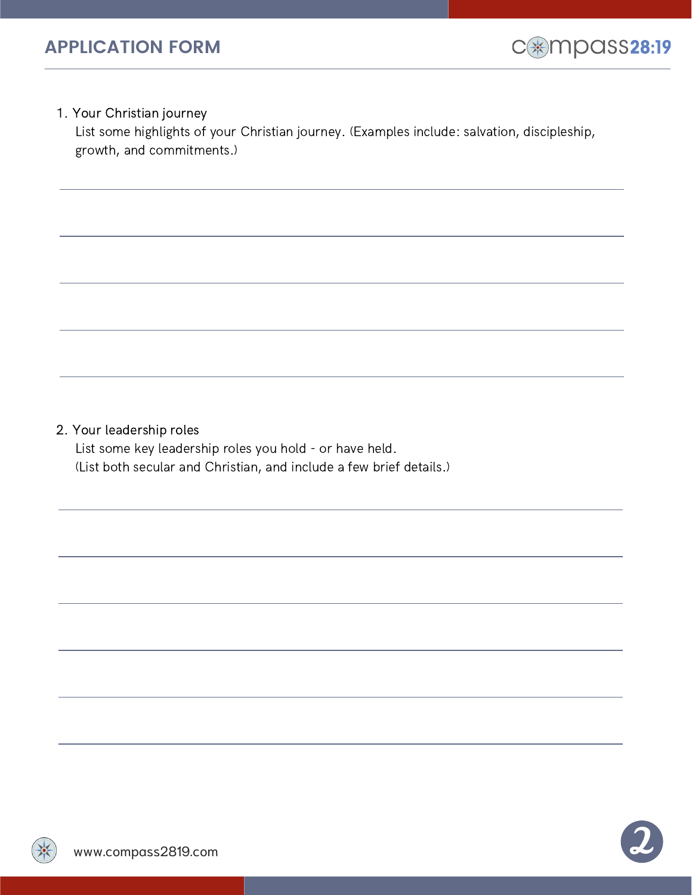

1. Your Christian journey

List some highlights of your Christian journey. (Examples include: salvation, discipleship, growth, and commitments.)

2. Your leadership roles

List some key leadership roles you hold - or have held. (List both secular and Christian, and include a few brief details.)

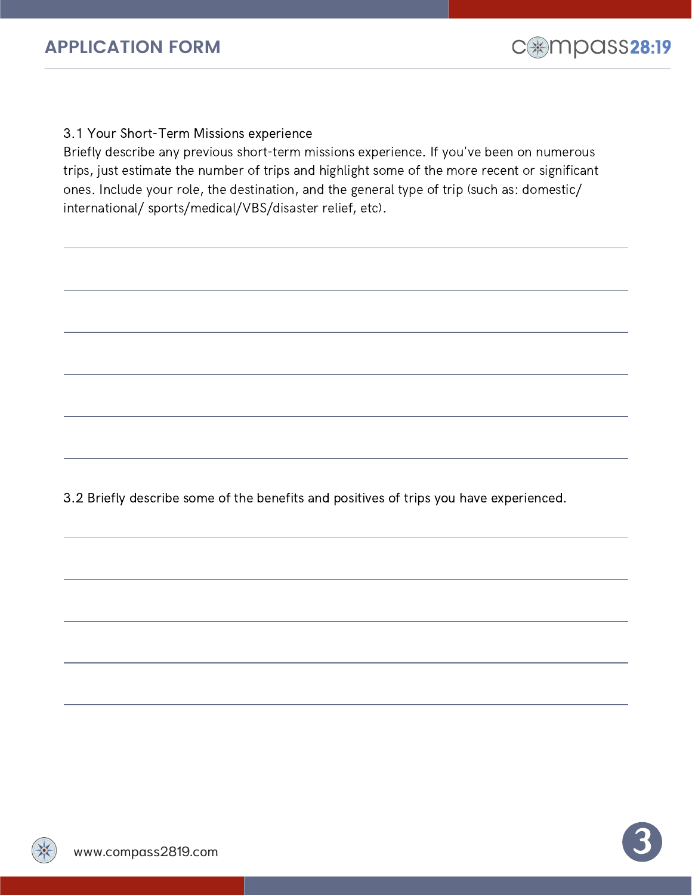

3.1 Your Short-Term Missions experience

Briefly describe any previous short-term missions experience. If you've been on numerous trips, just estimate the number of trips and highlight some of the more recent or significant ones. Include your role, the destination, and the general type of trip (such as: domestic/ international/ sports/medical/VBS/disaster relief, etc).

3.2 Briefly describe some of the benefits and positives of trips you have experienced.

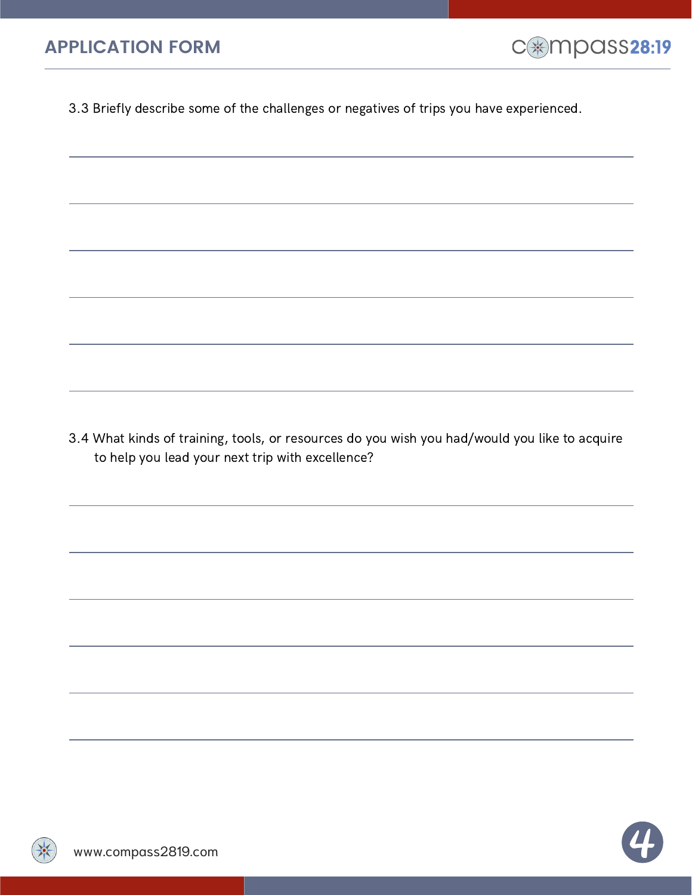

3.3 Briefly describe some of the challenges or negatives of trips you have experienced.

3.4 What kinds of training, tools, or resources do you wish you had/would you like to acquire to help you lead your next trip with excellence?